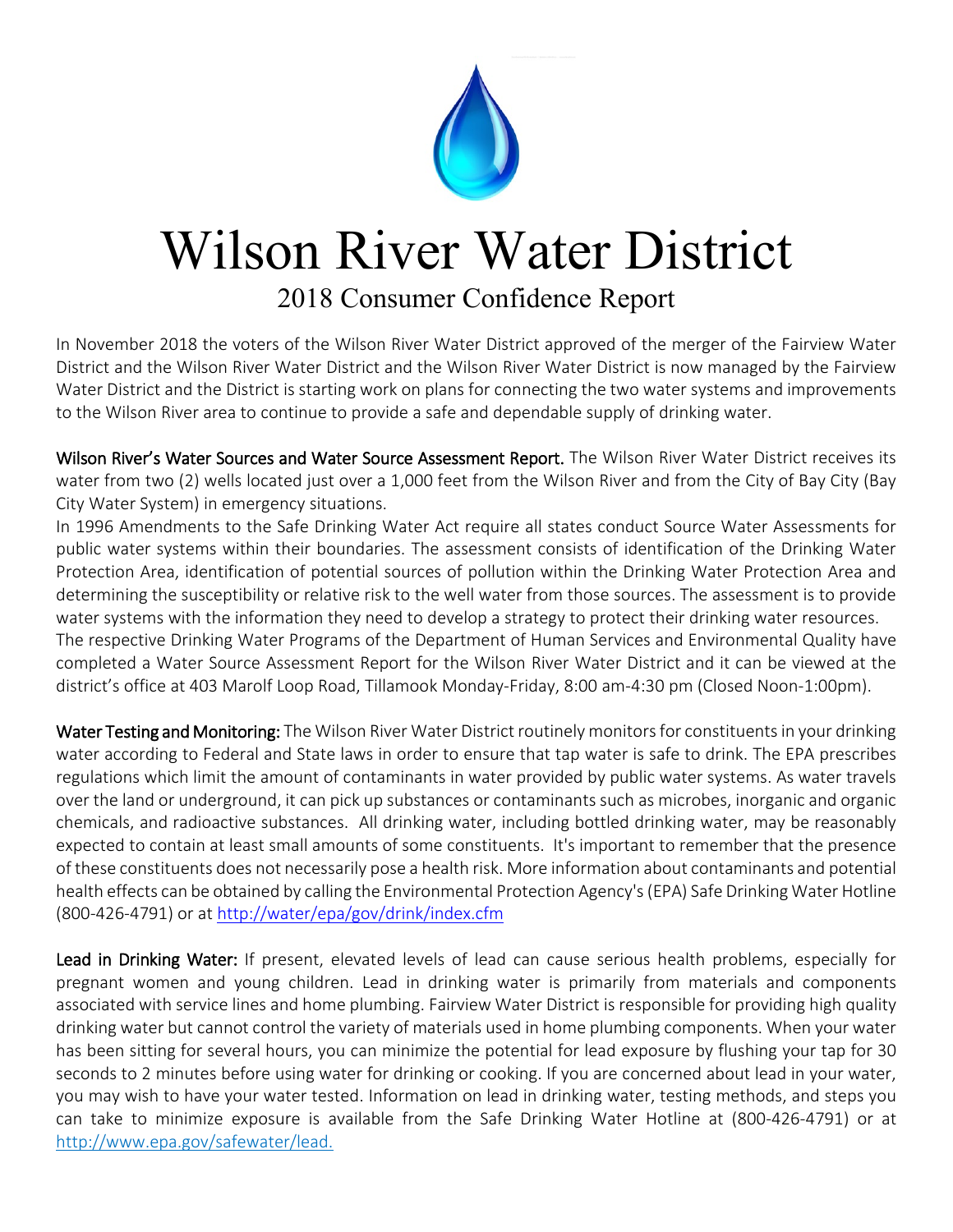

## Wilson River Water District

## 2018 Consumer Confidence Report

In November 2018 the voters of the Wilson River Water District approved of the merger of the Fairview Water District and the Wilson River Water District and the Wilson River Water District is now managed by the Fairview Water District and the District is starting work on plans for connecting the two water systems and improvements to the Wilson River area to continue to provide a safe and dependable supply of drinking water.

Wilson River's Water Sources and Water Source Assessment Report. The Wilson River Water District receives its water from two (2) wells located just over a 1,000 feet from the Wilson River and from the City of Bay City (Bay City Water System) in emergency situations.

In 1996 Amendments to the Safe Drinking Water Act require all states conduct Source Water Assessments for public water systems within their boundaries. The assessment consists of identification of the Drinking Water Protection Area, identification of potential sources of pollution within the Drinking Water Protection Area and determining the susceptibility or relative risk to the well water from those sources. The assessment is to provide water systems with the information they need to develop a strategy to protect their drinking water resources. The respective Drinking Water Programs of the Department of Human Services and Environmental Quality have completed a Water Source Assessment Report for the Wilson River Water District and it can be viewed at the district's office at 403 Marolf Loop Road, Tillamook Monday-Friday, 8:00 am-4:30 pm (Closed Noon-1:00pm).

Water Testing and Monitoring: The Wilson River Water District routinely monitors for constituents in your drinking water according to Federal and State laws in order to ensure that tap water is safe to drink. The EPA prescribes regulations which limit the amount of contaminants in water provided by public water systems. As water travels over the land or underground, it can pick up substances or contaminants such as microbes, inorganic and organic chemicals, and radioactive substances. All drinking water, including bottled drinking water, may be reasonably expected to contain at least small amounts of some constituents. It's important to remember that the presence of these constituents does not necessarily pose a health risk. More information about contaminants and potential health effects can be obtained by calling the Environmental Protection Agency's (EPA) Safe Drinking Water Hotline (800-426-4791) or at<http://water/epa/gov/drink/index.cfm>

Lead in Drinking Water: If present, elevated levels of lead can cause serious health problems, especially for pregnant women and young children. Lead in drinking water is primarily from materials and components associated with service lines and home plumbing. Fairview Water District is responsible for providing high quality drinking water but cannot control the variety of materials used in home plumbing components. When your water has been sitting for several hours, you can minimize the potential for lead exposure by flushing your tap for 30 seconds to 2 minutes before using water for drinking or cooking. If you are concerned about lead in your water, you may wish to have your water tested. Information on lead in drinking water, testing methods, and steps you can take to minimize exposure is available from the Safe Drinking Water Hotline at (800-426-4791) or at http://www.epa.gov/safewater/lead.